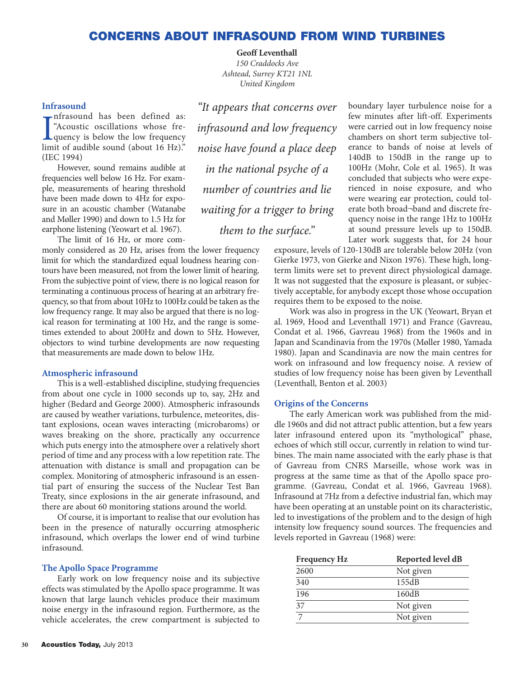# **CONCERNS ABOUT INFRASOUND FROM WIND TURBINES**

**Geoff Leventhall** *150 Craddocks Ave Ashtead, Surrey KT21 1NL United Kingdom*

#### **Infrasound**

Infrasound has been defined as:<br>
"Acoustic oscillations whose frequency<br>
limit of audible sound (about 16 Hz)" nfrasound has been defined as: "Acoustic oscillations whose frelimit of audible sound (about 16 Hz)." (IEC 1994)

However, sound remains audible at frequencies well below 16 Hz. For example, measurements of hearing threshold have been made down to 4Hz for exposure in an acoustic chamber (Watanabe and Møller 1990) and down to 1.5 Hz for earphone listening (Yeowart et al. 1967).

The limit of 16 Hz, or more com-

monly considered as 20 Hz, arises from the lower frequency limit for which the standardized equal loudness hearing contours have been measured, not from the lower limit of hearing. From the subjective point of view, there is no logical reason for terminating a continuous process of hearing at an arbitrary frequency, so that from about 10Hz to 100Hz could be taken as the low frequency range. It may also be argued that there is no logical reason for terminating at 100 Hz, and the range is sometimes extended to about 200Hz and down to 5Hz. However, objectors to wind turbine developments are now requesting that measurements are made down to below 1Hz.

### **Atmospheric infrasound**

This is a well-established discipline, studying frequencies from about one cycle in 1000 seconds up to, say, 2Hz and higher (Bedard and George 2000). Atmospheric infrasounds are caused by weather variations, turbulence, meteorites, distant explosions, ocean waves interacting (microbaroms) or waves breaking on the shore, practically any occurrence which puts energy into the atmosphere over a relatively short period of time and any process with a low repetition rate. The attenuation with distance is small and propagation can be complex. Monitoring of atmospheric infrasound is an essential part of ensuring the success of the Nuclear Test Ban Treaty, since explosions in the air generate infrasound, and there are about 60 monitoring stations around the world.

Of course, it is important to realise that our evolution has been in the presence of naturally occurring atmospheric infrasound, which overlaps the lower end of wind turbine infrasound.

### **The Apollo Space Programme**

Early work on low frequency noise and its subjective effects was stimulated by the Apollo space programme. It was known that large launch vehicles produce their maximum noise energy in the infrasound region. Furthermore, as the vehicle accelerates, the crew compartment is subjected to

"It appears that concerns over infrasound and low frequency noise have found a place deep in the national psyche of a number of countries and lie waiting for a trigger to bring them to the surface."

boundary layer turbulence noise for a few minutes after lift-off. Experiments were carried out in low frequency noise chambers on short term subjective tolerance to bands of noise at levels of 140dB to 150dB in the range up to 100Hz (Mohr, Cole et al. 1965). It was concluded that subjects who were experienced in noise exposure, and who were wearing ear protection, could tolerate both broad¬band and discrete frequency noise in the range 1Hz to 100Hz at sound pressure levels up to 150dB. Later work suggests that, for 24 hour

exposure, levels of 120-130dB are tolerable below 20Hz (von Gierke 1973, von Gierke and Nixon 1976). These high, longterm limits were set to prevent direct physiological damage. It was not suggested that the exposure is pleasant, or subjectively acceptable, for anybody except those whose occupation requires them to be exposed to the noise.

Work was also in progress in the UK (Yeowart, Bryan et al. 1969, Hood and Leventhall 1971) and France (Gavreau, Condat et al. 1966, Gavreau 1968) from the 1960s and in Japan and Scandinavia from the 1970s (Møller 1980, Yamada 1980). Japan and Scandinavia are now the main centres for work on infrasound and low frequency noise. A review of studies of low frequency noise has been given by Leventhall (Leventhall, Benton et al. 2003)

#### **Origins of the Concerns**

The early American work was published from the middle 1960s and did not attract public attention, but a few years later infrasound entered upon its "mythological" phase, echoes of which still occur, currently in relation to wind turbines. The main name associated with the early phase is that of Gavreau from CNRS Marseille, whose work was in progress at the same time as that of the Apollo space programme. (Gavreau, Condat et al. 1966, Gavreau 1968). Infrasound at 7Hz from a defective industrial fan, which may have been operating at an unstable point on its characteristic, led to investigations of the problem and to the design of high intensity low frequency sound sources. The frequencies and levels reported in Gavreau (1968) were:

| <b>Frequency Hz</b> | Reported level dB |  |  |
|---------------------|-------------------|--|--|
| 2600                | Not given         |  |  |
| 340                 | 155dB             |  |  |
| 196                 | 160dB             |  |  |
| 37                  | Not given         |  |  |
|                     | Not given         |  |  |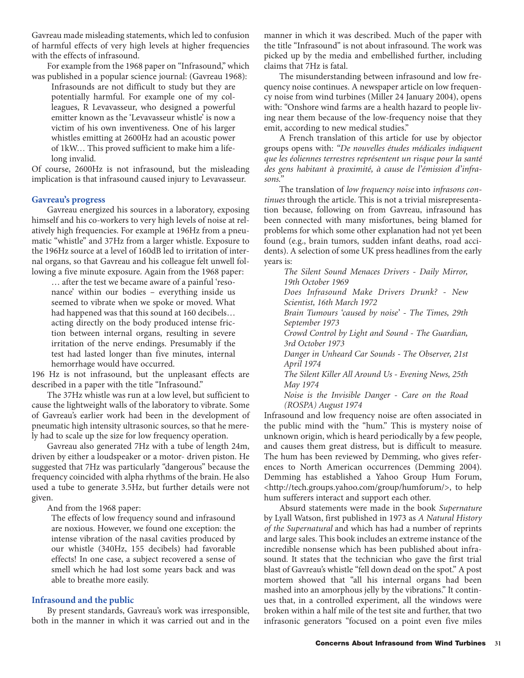Gavreau made misleading statements, which led to confusion of harmful effects of very high levels at higher frequencies with the effects of infrasound.

For example from the 1968 paper on "Infrasound," which was published in a popular science journal: (Gavreau 1968):

Infrasounds are not difficult to study but they are potentially harmful. For example one of my colleagues, R Levavasseur, who designed a powerful emitter known as the 'Levavasseur whistle' is now a victim of his own inventiveness. One of his larger whistles emitting at 2600Hz had an acoustic power of 1kW… This proved sufficient to make him a lifelong invalid.

Of course, 2600Hz is not infrasound, but the misleading implication is that infrasound caused injury to Levavasseur.

### **Gavreau's progress**

Gavreau energized his sources in a laboratory, exposing himself and his co-workers to very high levels of noise at relatively high frequencies. For example at 196Hz from a pneumatic "whistle" and 37Hz from a larger whistle. Exposure to the 196Hz source at a level of 160dB led to irritation of internal organs, so that Gavreau and his colleague felt unwell following a five minute exposure. Again from the 1968 paper:

… after the test we became aware of a painful 'resonance' within our bodies – everything inside us seemed to vibrate when we spoke or moved. What had happened was that this sound at 160 decibels… acting directly on the body produced intense friction between internal organs, resulting in severe irritation of the nerve endings. Presumably if the test had lasted longer than five minutes, internal hemorrhage would have occurred.

196 Hz is not infrasound, but the unpleasant effects are described in a paper with the title "Infrasound."

The 37Hz whistle was run at a low level, but sufficient to cause the lightweight walls of the laboratory to vibrate. Some of Gavreau's earlier work had been in the development of pneumatic high intensity ultrasonic sources, so that he merely had to scale up the size for low frequency operation.

Gavreau also generated 7Hz with a tube of length 24m, driven by either a loudspeaker or a motor- driven piston. He suggested that 7Hz was particularly "dangerous" because the frequency coincided with alpha rhythms of the brain. He also used a tube to generate 3.5Hz, but further details were not given.

And from the 1968 paper:

The effects of low frequency sound and infrasound are noxious. However, we found one exception: the intense vibration of the nasal cavities produced by our whistle (340Hz, 155 decibels) had favorable effects! In one case, a subject recovered a sense of smell which he had lost some years back and was able to breathe more easily.

### **Infrasound and the public**

By present standards, Gavreau's work was irresponsible, both in the manner in which it was carried out and in the manner in which it was described. Much of the paper with the title "Infrasound" is not about infrasound. The work was picked up by the media and embellished further, including claims that 7Hz is fatal.

The misunderstanding between infrasound and low frequency noise continues. A newspaper article on low frequency noise from wind turbines (Miller 24 January 2004), opens with: "Onshore wind farms are a health hazard to people living near them because of the low-frequency noise that they emit, according to new medical studies."

A French translation of this article for use by objector groups opens with: *"De nouvelles études médicales indiquent que les éoliennes terrestres représentent un risque pour la santé des gens habitant à proximité, à cause de l'émission d'infrasons."*

The translation of *low frequency noise* into *infrasons continues* through the article. This is not a trivial misrepresentation because, following on from Gavreau, infrasound has been connected with many misfortunes, being blamed for problems for which some other explanation had not yet been found (e.g., brain tumors, sudden infant deaths, road accidents). A selection of some UK press headlines from the early years is:

*The Silent Sound Menaces Drivers - Daily Mirror, 19th October 1969 Does Infrasound Make Drivers Drunk? - New Scientist, 16th March 1972 Brain Tumours 'caused by noise' - The Times, 29th September 1973 Crowd Control by Light and Sound - The Guardian, 3rd October 1973 Danger in Unheard Car Sounds - The Observer, 21st April 1974 The Silent Killer All Around Us - Evening News, 25th May 1974 Noise is the Invisible Danger - Care on the Road*

*(ROSPA) August 1974* Infrasound and low frequency noise are often associated in the public mind with the "hum." This is mystery noise of unknown origin, which is heard periodically by a few people, and causes them great distress, but is difficult to measure. The hum has been reviewed by Demming, who gives references to North American occurrences (Demming 2004). Demming has established a Yahoo Group Hum Forum, <http://tech.groups.yahoo.com/group/humforum/>, to help hum sufferers interact and support each other.

Absurd statements were made in the book *Supernature* by Lyall Watson, first published in 1973 as *A Natural History of the Supernatural* and which has had a number of reprints and large sales. This book includes an extreme instance of the incredible nonsense which has been published about infrasound. It states that the technician who gave the first trial blast of Gavreau's whistle "fell down dead on the spot." A post mortem showed that "all his internal organs had been mashed into an amorphous jelly by the vibrations." It continues that, in a controlled experiment, all the windows were broken within a half mile of the test site and further, that two infrasonic generators "focused on a point even five miles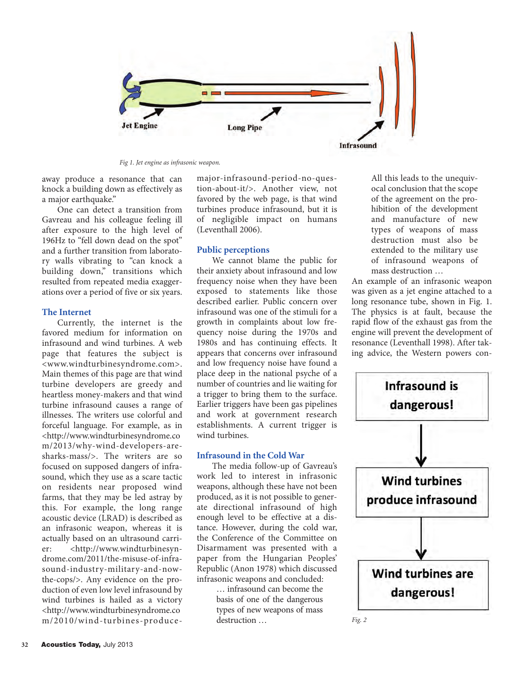

*Fig 1. Jet engine as infrasonic weapon.*

away produce a resonance that can knock a building down as effectively as a major earthquake."

One can detect a transition from Gavreau and his colleague feeling ill after exposure to the high level of 196Hz to "fell down dead on the spot" and a further transition from laboratory walls vibrating to "can knock a building down," transitions which resulted from repeated media exaggerations over a period of five or six years.

### **The Internet**

Currently, the internet is the favored medium for information on infrasound and wind turbines. A web page that features the subject is <www.windturbinesyndrome.com>. Main themes of this page are that wind turbine developers are greedy and heartless money-makers and that wind turbine infrasound causes a range of illnesses. The writers use colorful and forceful language. For example, as in <http://www.windturbinesyndrome.co m/2013/why-wind-developers-aresharks-mass/>. The writers are so focused on supposed dangers of infrasound, which they use as a scare tactic on residents near proposed wind farms, that they may be led astray by this. For example, the long range acoustic device (LRAD) is described as an infrasonic weapon, whereas it is actually based on an ultrasound carrier: <http://www.windturbinesyndrome.com/2011/the-misuse-of-infrasound-industry-military-and-nowthe-cops/>. Any evidence on the production of even low level infrasound by wind turbines is hailed as a victory <http://www.windturbinesyndrome.co m/2010/wind-turbines-producemajor-infrasound-period-no-question-about-it/>. Another view, not favored by the web page, is that wind turbines produce infrasound, but it is of negligible impact on humans (Leventhall 2006).

# **Public perceptions**

We cannot blame the public for their anxiety about infrasound and low frequency noise when they have been exposed to statements like those described earlier. Public concern over infrasound was one of the stimuli for a growth in complaints about low frequency noise during the 1970s and 1980s and has continuing effects. It appears that concerns over infrasound and low frequency noise have found a place deep in the national psyche of a number of countries and lie waiting for a trigger to bring them to the surface. Earlier triggers have been gas pipelines and work at government research establishments. A current trigger is wind turbines.

# **Infrasound in the Cold War**

The media follow-up of Gavreau's work led to interest in infrasonic weapons, although these have not been produced, as it is not possible to generate directional infrasound of high enough level to be effective at a distance. However, during the cold war, the Conference of the Committee on Disarmament was presented with a paper from the Hungarian Peoples' Republic (Anon 1978) which discussed infrasonic weapons and concluded:

… infrasound can become the basis of one of the dangerous types of new weapons of mass destruction …

All this leads to the unequivocal conclusion that the scope of the agreement on the prohibition of the development and manufacture of new types of weapons of mass destruction must also be extended to the military use of infrasound weapons of mass destruction …

An example of an infrasonic weapon was given as a jet engine attached to a long resonance tube, shown in Fig. 1. The physics is at fault, because the rapid flow of the exhaust gas from the engine will prevent the development of resonance (Leventhall 1998). After taking advice, the Western powers con-

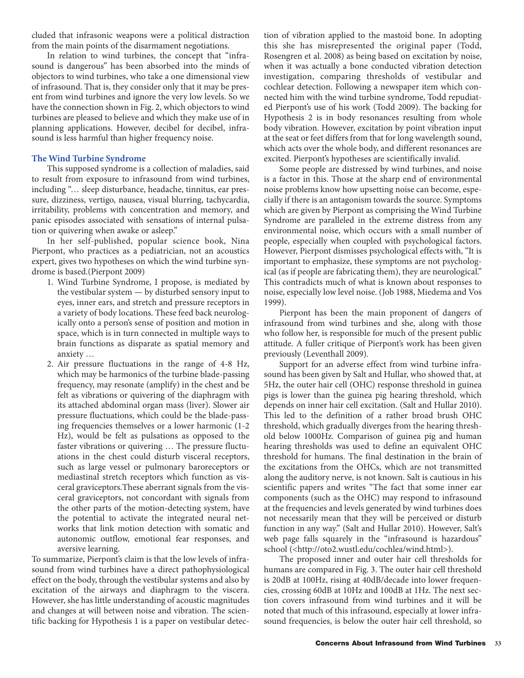cluded that infrasonic weapons were a political distraction from the main points of the disarmament negotiations.

In relation to wind turbines, the concept that "infrasound is dangerous" has been absorbed into the minds of objectors to wind turbines, who take a one dimensional view of infrasound. That is, they consider only that it may be present from wind turbines and ignore the very low levels. So we have the connection shown in Fig. 2, which objectors to wind turbines are pleased to believe and which they make use of in planning applications. However, decibel for decibel, infrasound is less harmful than higher frequency noise.

# **The Wind Turbine Syndrome**

This supposed syndrome is a collection of maladies, said to result from exposure to infrasound from wind turbines, including "… sleep disturbance, headache, tinnitus, ear pressure, dizziness, vertigo, nausea, visual blurring, tachycardia, irritability, problems with concentration and memory, and panic episodes associated with sensations of internal pulsation or quivering when awake or asleep."

In her self-published, popular science book, Nina Pierpont, who practices as a pediatrician, not an acoustics expert, gives two hypotheses on which the wind turbine syndrome is based.(Pierpont 2009)

- 1. Wind Turbine Syndrome, I propose, is mediated by the vestibular system — by disturbed sensory input to eyes, inner ears, and stretch and pressure receptors in a variety of body locations. These feed back neurologically onto a person's sense of position and motion in space, which is in turn connected in multiple ways to brain functions as disparate as spatial memory and anxiety …
- 2. Air pressure fluctuations in the range of 4-8 Hz, which may be harmonics of the turbine blade-passing frequency, may resonate (amplify) in the chest and be felt as vibrations or quivering of the diaphragm with its attached abdominal organ mass (liver). Slower air pressure fluctuations, which could be the blade-passing frequencies themselves or a lower harmonic (1-2 Hz), would be felt as pulsations as opposed to the faster vibrations or quivering … The pressure fluctuations in the chest could disturb visceral receptors, such as large vessel or pulmonary baroreceptors or mediastinal stretch receptors which function as visceral graviceptors.These aberrant signals from the visceral graviceptors, not concordant with signals from the other parts of the motion-detecting system, have the potential to activate the integrated neural networks that link motion detection with somatic and autonomic outflow, emotional fear responses, and aversive learning.

To summarize, Pierpont's claim is that the low levels of infrasound from wind turbines have a direct pathophysiological effect on the body, through the vestibular systems and also by excitation of the airways and diaphragm to the viscera. However, she has little understanding of acoustic magnitudes and changes at will between noise and vibration. The scientific backing for Hypothesis 1 is a paper on vestibular detection of vibration applied to the mastoid bone. In adopting this she has misrepresented the original paper (Todd, Rosengren et al. 2008) as being based on excitation by noise, when it was actually a bone conducted vibration detection investigation, comparing thresholds of vestibular and cochlear detection. Following a newspaper item which connected him with the wind turbine syndrome, Todd repudiated Pierpont's use of his work (Todd 2009). The backing for Hypothesis 2 is in body resonances resulting from whole body vibration. However, excitation by point vibration input at the seat or feet differs from that for long wavelength sound, which acts over the whole body, and different resonances are excited. Pierpont's hypotheses are scientifically invalid.

Some people are distressed by wind turbines, and noise is a factor in this. Those at the sharp end of environmental noise problems know how upsetting noise can become, especially if there is an antagonism towards the source. Symptoms which are given by Pierpont as comprising the Wind Turbine Syndrome are paralleled in the extreme distress from any environmental noise, which occurs with a small number of people, especially when coupled with psychological factors. However, Pierpont dismisses psychological effects with, "It is important to emphasize, these symptoms are not psychological (as if people are fabricating them), they are neurological." This contradicts much of what is known about responses to noise, especially low level noise. (Job 1988, Miedema and Vos 1999).

Pierpont has been the main proponent of dangers of infrasound from wind turbines and she, along with those who follow her, is responsible for much of the present public attitude. A fuller critique of Pierpont's work has been given previously (Leventhall 2009).

Support for an adverse effect from wind turbine infrasound has been given by Salt and Hullar, who showed that, at 5Hz, the outer hair cell (OHC) response threshold in guinea pigs is lower than the guinea pig hearing threshold, which depends on inner hair cell excitation. (Salt and Hullar 2010). This led to the definition of a rather broad brush OHC threshold, which gradually diverges from the hearing threshold below 1000Hz. Comparison of guinea pig and human hearing thresholds was used to define an equivalent OHC threshold for humans. The final destination in the brain of the excitations from the OHCs, which are not transmitted along the auditory nerve, is not known. Salt is cautious in his scientific papers and writes "The fact that some inner ear components (such as the OHC) may respond to infrasound at the frequencies and levels generated by wind turbines does not necessarily mean that they will be perceived or disturb function in any way." (Salt and Hullar 2010). However, Salt's web page falls squarely in the "infrasound is hazardous" school (<http://oto2.wustl.edu/cochlea/wind.html>).

The proposed inner and outer hair cell thresholds for humans are compared in Fig. 3. The outer hair cell threshold is 20dB at 100Hz, rising at 40dB/decade into lower frequencies, crossing 60dB at 10Hz and 100dB at 1Hz. The next section covers infrasound from wind turbines and it will be noted that much of this infrasound, especially at lower infrasound frequencies, is below the outer hair cell threshold, so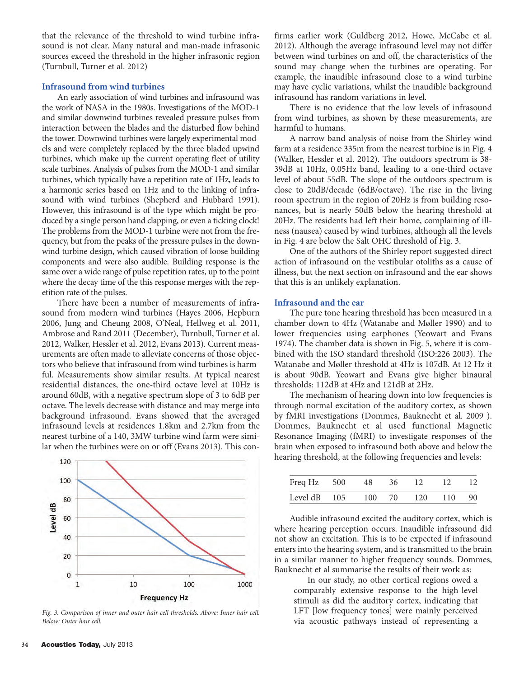that the relevance of the threshold to wind turbine infrasound is not clear. Many natural and man-made infrasonic sources exceed the threshold in the higher infrasonic region (Turnbull, Turner et al. 2012)

### **Infrasound from wind turbines**

An early association of wind turbines and infrasound was the work of NASA in the 1980s. Investigations of the MOD-1 and similar downwind turbines revealed pressure pulses from interaction between the blades and the disturbed flow behind the tower. Downwind turbines were largely experimental models and were completely replaced by the three bladed upwind turbines, which make up the current operating fleet of utility scale turbines. Analysis of pulses from the MOD-1 and similar turbines, which typically have a repetition rate of 1Hz, leads to a harmonic series based on 1Hz and to the linking of infrasound with wind turbines (Shepherd and Hubbard 1991). However, this infrasound is of the type which might be produced by a single person hand clapping, or even a ticking clock! The problems from the MOD-1 turbine were not from the frequency, but from the peaks of the pressure pulses in the downwind turbine design, which caused vibration of loose building components and were also audible. Building response is the same over a wide range of pulse repetition rates, up to the point where the decay time of the this response merges with the repetition rate of the pulses.

There have been a number of measurements of infrasound from modern wind turbines (Hayes 2006, Hepburn 2006, Jung and Cheung 2008, O'Neal, Hellweg et al. 2011, Ambrose and Rand 2011 (December), Turnbull, Turner et al. 2012, Walker, Hessler et al. 2012, Evans 2013). Current measurements are often made to alleviate concerns of those objectors who believe that infrasound from wind turbines is harmful. Measurements show similar results. At typical nearest residential distances, the one-third octave level at 10Hz is around 60dB, with a negative spectrum slope of 3 to 6dB per octave. The levels decrease with distance and may merge into background infrasound. Evans showed that the averaged infrasound levels at residences 1.8km and 2.7km from the nearest turbine of a 140, 3MW turbine wind farm were similar when the turbines were on or off (Evans 2013). This con-



*Fig. 3. Comparison of inner and outer hair cell thresholds. Above: Inner hair cell. Below: Outer hair cell.*

firms earlier work (Guldberg 2012, Howe, McCabe et al. 2012). Although the average infrasound level may not differ between wind turbines on and off, the characteristics of the sound may change when the turbines are operating. For example, the inaudible infrasound close to a wind turbine may have cyclic variations, whilst the inaudible background infrasound has random variations in level.

There is no evidence that the low levels of infrasound from wind turbines, as shown by these measurements, are harmful to humans.

A narrow band analysis of noise from the Shirley wind farm at a residence 335m from the nearest turbine is in Fig. 4 (Walker, Hessler et al. 2012). The outdoors spectrum is 38- 39dB at 10Hz, 0.05Hz band, leading to a one-third octave level of about 55dB. The slope of the outdoors spectrum is close to 20dB/decade (6dB/octave). The rise in the living room spectrum in the region of 20Hz is from building resonances, but is nearly 50dB below the hearing threshold at 20Hz. The residents had left their home, complaining of illness (nausea) caused by wind turbines, although all the levels in Fig. 4 are below the Salt OHC threshold of Fig. 3.

One of the authors of the Shirley report suggested direct action of infrasound on the vestibular otoliths as a cause of illness, but the next section on infrasound and the ear shows that this is an unlikely explanation.

#### **Infrasound and the ear**

The pure tone hearing threshold has been measured in a chamber down to 4Hz (Watanabe and Møller 1990) and to lower frequencies using earphones (Yeowart and Evans 1974). The chamber data is shown in Fig. 5, where it is combined with the ISO standard threshold (ISO:226 2003). The Watanabe and Møller threshold at 4Hz is 107dB. At 12 Hz it is about 90dB. Yeowart and Evans give higher binaural thresholds: 112dB at 4Hz and 121dB at 2Hz.

The mechanism of hearing down into low frequencies is through normal excitation of the auditory cortex, as shown by fMRI investigations (Dommes, Bauknecht et al. 2009 ). Dommes, Bauknecht et al used functional Magnetic Resonance Imaging (fMRI) to investigate responses of the brain when exposed to infrasound both above and below the hearing threshold, at the following frequencies and levels:

| Freq Hz $500$ | - 48   | 36 | $-12$ | $\overline{12}$ | - 12 |
|---------------|--------|----|-------|-----------------|------|
| Level dB 105  | 100 70 |    |       | 120 110 90      |      |

Audible infrasound excited the auditory cortex, which is where hearing perception occurs. Inaudible infrasound did not show an excitation. This is to be expected if infrasound enters into the hearing system, and is transmitted to the brain in a similar manner to higher frequency sounds. Dommes, Bauknecht et al summarise the results of their work as:

In our study, no other cortical regions owed a comparably extensive response to the high-level stimuli as did the auditory cortex, indicating that LFT [low frequency tones] were mainly perceived via acoustic pathways instead of representing a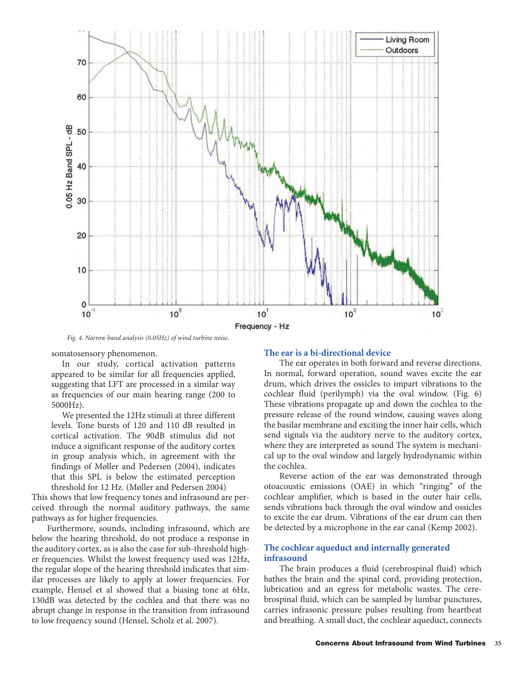

*Fig. 4. Narrow band analysis (0.05Hz) of wind turbine noise.*

### **The ear is a bi-directional device**

somatosensory phenomenon.

In our study, cortical activation patterns appeared to be similar for all frequencies applied, suggesting that LFT are processed in a similar way as frequencies of our main hearing range (200 to 5000Hz).

We presented the 12Hz stimuli at three different levels. Tone bursts of 120 and 110 dB resulted in cortical activation. The 90dB stimulus did not induce a significant response of the auditory cortex in group analysis which, in agreement with the findings of Møller and Pedersen (2004), indicates that this SPL is below the estimated perception threshold for 12 Hz. (Møller and Pedersen 2004)

This shows that low frequency tones and infrasound are perceived through the normal auditory pathways, the same pathways as for higher frequencies.

Furthermore, sounds, including infrasound, which are below the hearing threshold, do not produce a response in the auditory cortex, as is also the case for sub-threshold higher frequencies. Whilst the lowest frequency used was 12Hz, the regular slope of the hearing threshold indicates that similar processes are likely to apply at lower frequencies. For example, Hensel et al showed that a biasing tone at 6Hz, 130dB was detected by the cochlea and that there was no abrupt change in response in the transition from infrasound to low frequency sound (Hensel, Scholz et al. 2007).

The ear operates in both forward and reverse directions. In normal, forward operation, sound waves excite the ear drum, which drives the ossicles to impart vibrations to the cochlear fluid (perilymph) via the oval window. (Fig. 6) These vibrations propagate up and down the cochlea to the pressure release of the round window, causing waves along the basilar membrane and exciting the inner hair cells, which send signals via the auditory nerve to the auditory cortex, where they are interpreted as sound The system is mechanical up to the oval window and largely hydrodynamic within the cochlea.

Reverse action of the ear was demonstrated through otoacoustic emissions (OAE) in which "ringing" of the cochlear amplifier, which is based in the outer hair cells, sends vibrations back through the oval window and ossicles to excite the ear drum. Vibrations of the ear drum can then be detected by a microphone in the ear canal (Kemp 2002).

# **The cochlear aqueduct and internally generated infrasound**

The brain produces a fluid (cerebrospinal fluid) which bathes the brain and the spinal cord, providing protection, lubrication and an egress for metabolic wastes. The cerebrospinal fluid, which can be sampled by lumbar punctures, carries infrasonic pressure pulses resulting from heartbeat and breathing. A small duct, the cochlear aqueduct, connects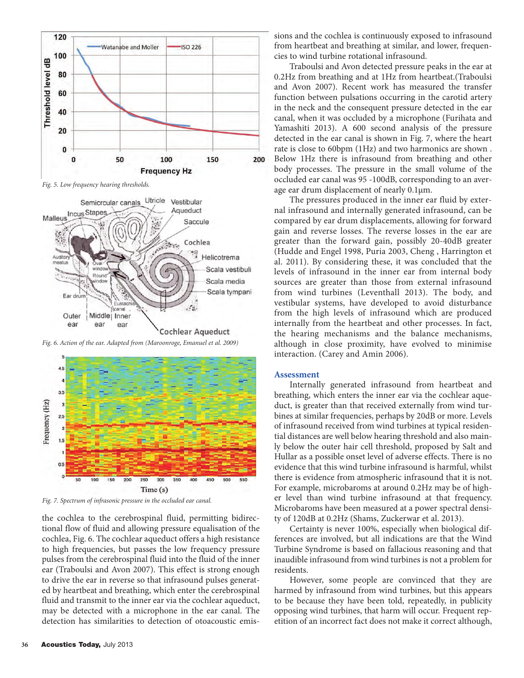

*Fig. 5. Low frequency hearing thresholds.*



*Fig. 6. Action of the ear. Adapted from (Maroonroge, Emanuel et al. 2009)*



*Fig. 7. Spectrum of infrasonic pressure in the occluded ear canal.*

the cochlea to the cerebrospinal fluid, permitting bidirectional flow of fluid and allowing pressure equalisation of the cochlea, Fig. 6. The cochlear aqueduct offers a high resistance to high frequencies, but passes the low frequency pressure pulses from the cerebrospinal fluid into the fluid of the inner ear (Traboulsi and Avon 2007). This effect is strong enough to drive the ear in reverse so that infrasound pulses generated by heartbeat and breathing, which enter the cerebrospinal fluid and transmit to the inner ear via the cochlear aqueduct, may be detected with a microphone in the ear canal. The detection has similarities to detection of otoacoustic emissions and the cochlea is continuously exposed to infrasound from heartbeat and breathing at similar, and lower, frequencies to wind turbine rotational infrasound.

Traboulsi and Avon detected pressure peaks in the ear at 0.2Hz from breathing and at 1Hz from heartbeat.(Traboulsi and Avon 2007). Recent work has measured the transfer function between pulsations occurring in the carotid artery in the neck and the consequent pressure detected in the ear canal, when it was occluded by a microphone (Furihata and Yamashiti 2013). A 600 second analysis of the pressure detected in the ear canal is shown in Fig. 7, where the heart rate is close to 60bpm (1Hz) and two harmonics are shown . Below 1Hz there is infrasound from breathing and other body processes. The pressure in the small volume of the occluded ear canal was 95 -100dB, corresponding to an average ear drum displacement of nearly 0.1µm.

The pressures produced in the inner ear fluid by external infrasound and internally generated infrasound, can be compared by ear drum displacements, allowing for forward gain and reverse losses. The reverse losses in the ear are greater than the forward gain, possibly 20-40dB greater (Hudde and Engel 1998, Puria 2003, Cheng , Harrington et al. 2011). By considering these, it was concluded that the levels of infrasound in the inner ear from internal body sources are greater than those from external infrasound from wind turbines (Leventhall 2013). The body, and vestibular systems, have developed to avoid disturbance from the high levels of infrasound which are produced internally from the heartbeat and other processes. In fact, the hearing mechanisms and the balance mechanisms, although in close proximity, have evolved to minimise interaction. (Carey and Amin 2006).

#### **Assessment**

Internally generated infrasound from heartbeat and breathing, which enters the inner ear via the cochlear aqueduct, is greater than that received externally from wind turbines at similar frequencies, perhaps by 20dB or more. Levels of infrasound received from wind turbines at typical residential distances are well below hearing threshold and also mainly below the outer hair cell threshold, proposed by Salt and Hullar as a possible onset level of adverse effects. There is no evidence that this wind turbine infrasound is harmful, whilst there is evidence from atmospheric infrasound that it is not. For example, microbaroms at around 0.2Hz may be of higher level than wind turbine infrasound at that frequency. Microbaroms have been measured at a power spectral density of 120dB at 0.2Hz (Shams, Zuckerwar et al. 2013).

Certainty is never 100%, especially when biological differences are involved, but all indications are that the Wind Turbine Syndrome is based on fallacious reasoning and that inaudible infrasound from wind turbines is not a problem for residents.

However, some people are convinced that they are harmed by infrasound from wind turbines, but this appears to be because they have been told, repeatedly, in publicity opposing wind turbines, that harm will occur. Frequent repetition of an incorrect fact does not make it correct although,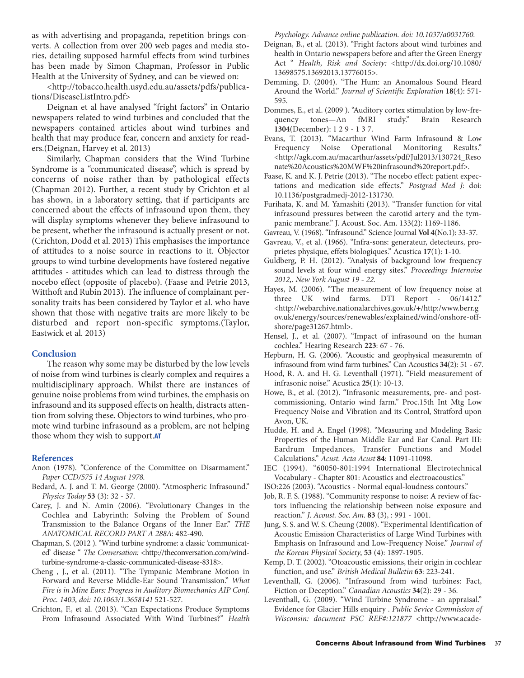as with advertising and propaganda, repetition brings converts. A collection from over 200 web pages and media stories, detailing supposed harmful effects from wind turbines has been made by Simon Chapman, Professor in Public Health at the University of Sydney, and can be viewed on:

<http://tobacco.health.usyd.edu.au/assets/pdfs/publications/DiseaseListIntro.pdf>

Deignan et al have analysed "fright factors" in Ontario newspapers related to wind turbines and concluded that the newspapers contained articles about wind turbines and health that may produce fear, concern and anxiety for readers.(Deignan, Harvey et al. 2013)

Similarly, Chapman considers that the Wind Turbine Syndrome is a "communicated disease", which is spread by concerns of noise rather than by pathological effects (Chapman 2012). Further, a recent study by Crichton et al has shown, in a laboratory setting, that if participants are concerned about the effects of infrasound upon them, they will display symptoms whenever they believe infrasound to be present, whether the infrasound is actually present or not. (Crichton, Dodd et al. 2013) This emphasises the importance of attitudes to a noise source in reactions to it. Objector groups to wind turbine developments have fostered negative attitudes - attitudes which can lead to distress through the nocebo effect (opposite of placebo). (Faase and Petrie 2013, Witthoft and Rubin 2013). The influence of complainant personality traits has been considered by Taylor et al. who have shown that those with negative traits are more likely to be disturbed and report non-specific symptoms.(Taylor, Eastwick et al. 2013)

### **Conclusion**

The reason why some may be disturbed by the low levels of noise from wind turbines is clearly complex and requires a multidisciplinary approach. Whilst there are instances of genuine noise problems from wind turbines, the emphasis on infrasound and its supposed effects on health, distracts attention from solving these. Objectors to wind turbines, who promote wind turbine infrasound as a problem, are not helping those whom they wish to support.**AT**

#### **References**

- Anon (1978). "Conference of the Committee on Disarmament." *Paper CCD/575 14 August 1978*.
- Bedard, A. J. and T. M. George (2000). "Atmospheric Infrasound." *Physics Today* **53** (3): 32 - 37.
- Carey, J. and N. Amin (2006). "Evolutionary Changes in the Cochlea and Labyrinth: Solving the Problem of Sound Transmission to the Balance Organs of the Inner Ear." *THE ANATOMICAL RECORD PART A 288A*: 482-490.
- Chapman, S. (2012 ). "Wind turbine syndrome: a classic 'communicated' disease " The Conversation: < http://theconversation.com/windturbine-syndrome-a-classic-communicated-disease-8318>.
- Cheng , J., et al. (2011). "The Tympanic Membrane Motion in Forward and Reverse Middle-Ear Sound Transmission." *What Fire is in Mine Ears: Progress in Auditory Biomechanics AIP Conf. Proc. 1403, doi: 10.1063/1.3658141* 521-527.
- Crichton, F., et al. (2013). "Can Expectations Produce Symptoms From Infrasound Associated With Wind Turbines?" *Health*

*Psychology. Advance online publication. doi: 10.1037/a0031760.*

- Deignan, B., et al. (2013). "Fright factors about wind turbines and health in Ontario newspapers before and after the Green Energy Act " *Health, Risk and Society:* <http://dx.doi.org/10.1080/ 13698575.13692013.13776015>.
- Demming, D. (2004). "The Hum: an Anomalous Sound Heard Around the World." *Journal of Scientific Exploration* **18**(4): 571- 595.
- Dommes, E., et al. (2009 ). "Auditory cortex stimulation by low-frequency tones—An fMRI study." Brain Research **1304**(December): 1 2 9 - 1 3 7.
- Evans, T. (2013). "Macarthur Wind Farm Infrasound & Low Frequency Noise Operational Monitoring Results." <http://agk.com.au/macarthur/assets/pdf/Jul2013/130724\_Reso nate%20Acoustics%20MWF%20infrasound%20report.pdf>.
- Faase, K. and K. J. Petrie (2013). "The nocebo effect: patient expectations and medication side effects." *Postgrad Med J*: doi: 10.1136/postgradmedj-2012-131730.
- Furihata, K. and M. Yamashiti (2013). "Transfer function for vital infrasound pressures between the carotid artery and the tympanic membrane." J. Acoust. Soc. Am. 133(2): 1169-1186.

Gavreau, V. (1968). "Infrasound." Science Journal **Vol 4**(No.1): 33-37.

- Gavreau, V., et al. (1966). "Infra-sons: generateur, detecteurs, proprietes physique, effets biologiques." Acustica **17**(1): 1-10.
- Guldberg, P. H. (2012). "Analysis of background low frequency sound levels at four wind energy sites." *Proceedings Internoise 2012,. New York August 19 - 22*.
- Hayes, M. (2006). "The measurement of low frequency noise at three UK wind farms. DTI Report - 06/1412." <http://webarchive.nationalarchives.gov.uk/+/http:/www.berr.g ov.uk/energy/sources/renewables/explained/wind/onshore-offshore/page31267.html>.
- Hensel, J., et al. (2007). "Impact of infrasound on the human cochlea." Hearing Research **223**: 67 - 76.
- Hepburn, H. G. (2006). "Acoustic and geophysical measuremtn of infrasound from wind farm turbines." Can Acoustics **34**(2): 51 - 67.
- Hood, R. A. and H. G. Leventhall (1971). "Field measurement of infrasonic noise." Acustica **25**(1): 10-13.
- Howe, B., et al. (2012). "Infrasonic measurements, pre- and postcommissioning, Ontario wind farm." Proc.15th Int Mtg Low Frequency Noise and Vibration and its Control, Stratford upon Avon, UK.
- Hudde, H. and A. Engel (1998). "Measuring and Modeling Basic Properties of the Human Middle Ear and Ear Canal. Part III: Eardrum Impedances, Transfer Functions and Model Calculations." *Acust. Acta Acust* **84**: 11091-11098.
- IEC (1994). "60050-801:1994 International Electrotechnical Vocabulary - Chapter 801: Acoustics and electroacoustics."
- ISO:226 (2003). "Acoustics Normal equal-loudness contours."
- Job, R. F. S. (1988). "Community response to noise: A review of factors influencing the relationship between noise exposure and reaction." *J. Acoust. Soc. Am.* **83** (3), : 991 - 1001.
- Jung, S. S. and W. S. Cheung (2008). "Experimental Identification of Acoustic Emission Characteristics of Large Wind Turbines with Emphasis on Infrasound and Low-Frequency Noise." *Journal of the Korean Physical Society*, **53** (4): 1897-1905.
- Kemp, D. T. (2002). "Otoacoustic emissions, their origin in cochlear function, and use." *British Medical Bulletin* **63**: 223-241.
- Leventhall, G. (2006). "Infrasound from wind turbines: Fact, Fiction or Deception." *Canadian Acoustics* **34**(2): 29 - 36.
- Leventhall, G. (2009). "Wind Turbine Syndrome an appraisal." Evidence for Glacier Hills enquiry . *Public Sevice Commission of Wisconsin: document PSC REF#:121877* <http://www.acade-